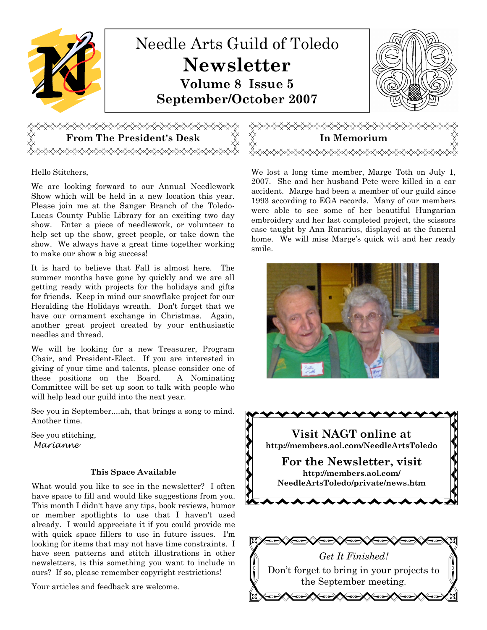

## From The President's Desk  $\begin{array}{cc} \forall & \forall \end{array}$  In Memorium <del></del>

Hello Stitchers,

We are looking forward to our Annual Needlework Show which will be held in a new location this year. Please join me at the Sanger Branch of the Toledo-Lucas County Public Library for an exciting two day show. Enter a piece of needlework, or volunteer to help set up the show, greet people, or take down the show. We always have a great time together working to make our show a big success!

It is hard to believe that Fall is almost here. The summer months have gone by quickly and we are all getting ready with projects for the holidays and gifts for friends. Keep in mind our snowflake project for our Heralding the Holidays wreath. Don't forget that we have our ornament exchange in Christmas. Again, another great project created by your enthusiastic needles and thread.

We will be looking for a new Treasurer, Program Chair, and President-Elect. If you are interested in giving of your time and talents, please consider one of these positions on the Board. A Nominating Committee will be set up soon to talk with people who will help lead our guild into the next year.

See you in September....ah, that brings a song to mind. Another time.

See you stitching, Marianne

### This Space Available

What would you like to see in the newsletter? I often have space to fill and would like suggestions from you. This month I didn't have any tips, book reviews, humor or member spotlights to use that I haven't used already. I would appreciate it if you could provide me with quick space fillers to use in future issues. I'm looking for items that may not have time constraints. I have seen patterns and stitch illustrations in other newsletters, is this something you want to include in ours? If so, please remember copyright restrictions!

Your articles and feedback are welcome.

We lost a long time member, Marge Toth on July 1, 2007. She and her husband Pete were killed in a car accident. Marge had been a member of our guild since 1993 according to EGA records. Many of our members were able to see some of her beautiful Hungarian embroidery and her last completed project, the scissors case taught by Ann Rorarius, displayed at the funeral home. We will miss Marge's quick wit and her ready smile.



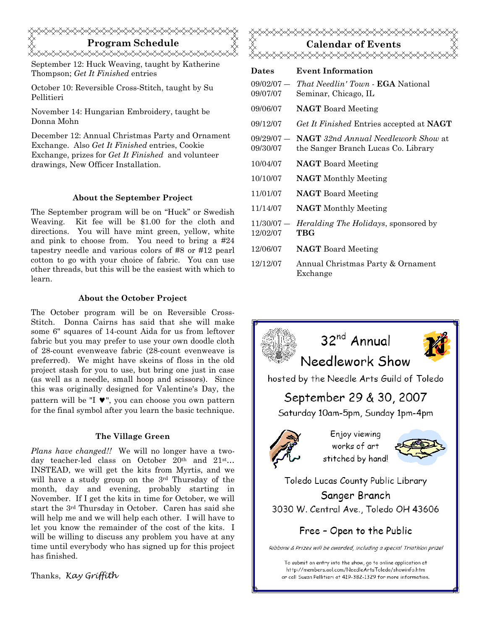## Program Schedule <del></del>

September 12: Huck Weaving, taught by Katherine Thompson; Get It Finished entries

October 10: Reversible Cross-Stitch, taught by Su Pellitieri

November 14: Hungarian Embroidery, taught be Donna Mohn

December 12: Annual Christmas Party and Ornament Exchange. Also Get It Finished entries, Cookie Exchange, prizes for Get It Finished and volunteer drawings, New Officer Installation.

### About the September Project

The September program will be on "Huck" or Swedish Weaving. Kit fee will be \$1.00 for the cloth and directions. You will have mint green, yellow, white and pink to choose from. You need to bring a #24 tapestry needle and various colors of #8 or #12 pearl cotton to go with your choice of fabric. You can use other threads, but this will be the easiest with which to learn.

### About the October Project

The October program will be on Reversible Cross-Stitch. Donna Cairns has said that she will make some 6" squares of 14-count Aida for us from leftover fabric but you may prefer to use your own doodle cloth of 28-count evenweave fabric (28-count evenweave is preferred). We might have skeins of floss in the old project stash for you to use, but bring one just in case (as well as a needle, small hoop and scissors). Since this was originally designed for Valentine's Day, the pattern will be "I ♥", you can choose you own pattern for the final symbol after you learn the basic technique.

### The Village Green

Plans have changed!! We will no longer have a twoday teacher-led class on October 20<sup>th</sup> and 21<sup>st</sup>... INSTEAD, we will get the kits from Myrtis, and we will have a study group on the 3rd Thursday of the month, day and evening, probably starting in November. If I get the kits in time for October, we will start the 3rd Thursday in October. Caren has said she will help me and we will help each other. I will have to let you know the remainder of the cost of the kits. I will be willing to discuss any problem you have at any time until everybody who has signed up for this project has finished.

Thanks, Kay Gríffíth



| <b>Dates</b>             | <b>Event Information</b>                                                          |
|--------------------------|-----------------------------------------------------------------------------------|
| $09/02/07 -$<br>09/07/07 | <i>That Needlin' Town - EGA National</i><br>Seminar, Chicago, IL                  |
| 09/06/07                 | <b>NAGT</b> Board Meeting                                                         |
| 09/12/07                 | Get It Finished Entries accepted at NAGT                                          |
| $09/29/07 -$<br>09/30/07 | <b>NAGT</b> 32nd Annual Needlework Show at<br>the Sanger Branch Lucas Co. Library |
| 10/04/07                 | <b>NAGT</b> Board Meeting                                                         |
| 10/10/07                 | <b>NAGT</b> Monthly Meeting                                                       |
| 11/01/07                 | <b>NAGT</b> Board Meeting                                                         |
| 11/14/07                 | <b>NAGT</b> Monthly Meeting                                                       |
| $11/30/07 -$<br>12/02/07 | <i>Heralding The Holidays</i> , sponsored by<br>TBG                               |
| 12/06/07                 | <b>NAGT</b> Board Meeting                                                         |
| 12/12/07                 | Annual Christmas Party & Ornament                                                 |

Exchange

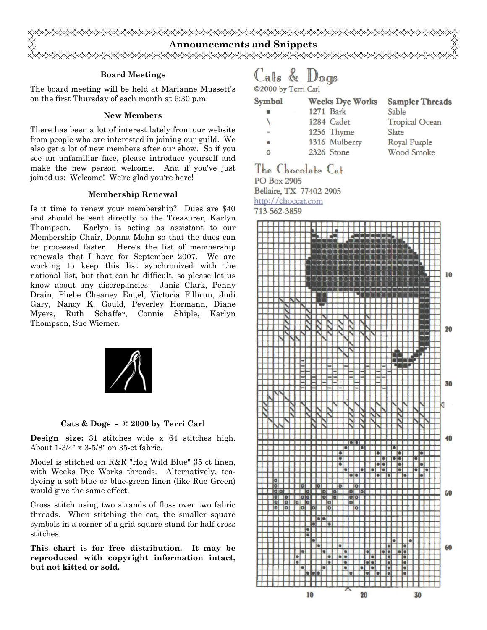

### Board Meetings

The board meeting will be held at Marianne Mussett's on the first Thursday of each month at 6:30 p.m.

### New Members

There has been a lot of interest lately from our website from people who are interested in joining our guild. We also get a lot of new members after our show. So if you see an unfamiliar face, please introduce yourself and make the new person welcome. And if you've just joined us: Welcome! We're glad you're here!

### Membership Renewal

Is it time to renew your membership? Dues are \$40 and should be sent directly to the Treasurer, Karlyn Thompson. Karlyn is acting as assistant to our Membership Chair, Donna Mohn so that the dues can be processed faster. Here's the list of membership renewals that I have for September 2007. We are working to keep this list synchronized with the national list, but that can be difficult, so please let us know about any discrepancies: Janis Clark, Penny Drain, Phebe Cheaney Engel, Victoria Filbrun, Judi Gary, Nancy K. Gould, Peverley Hormann, Diane Myers, Ruth Schaffer, Connie Shiple, Karlyn Thompson, Sue Wiemer.



Cats & Dogs - © 2000 by Terri Carl

Design size: 31 stitches wide x 64 stitches high. About 1-3/4" x 3-5/8" on 35-ct fabric.

Model is stitched on R&R "Hog Wild Blue" 35 ct linen, with Weeks Dye Works threads. Alternatively, teadyeing a soft blue or blue-green linen (like Rue Green) would give the same effect.

Cross stitch using two strands of floss over two fabric threads. When stitching the cat, the smaller square symbols in a corner of a grid square stand for half-cross stitches.

This chart is for free distribution. It may be reproduced with copyright information intact, but not kitted or sold.

# Cats & Dogs

©2000 by Terri Carl

| <b>Symbol</b>  | <b>Weeks Dye Works</b> |  |
|----------------|------------------------|--|
|                | 1271 Bark              |  |
| V              | 1284 Cadet             |  |
| $\blacksquare$ | 1256 Thyme             |  |
| $\bullet$      | 1316 Mulberry          |  |
| Q              | 2326 Stone             |  |

**Sampler Threads** Sable **Tropical Ocean** Slate Royal Purple **Wood Smoke** 

The Chocolate Cat PO Box 2905 Bellaire, TX 77402-2905 http://choccat.com

713-562-3859

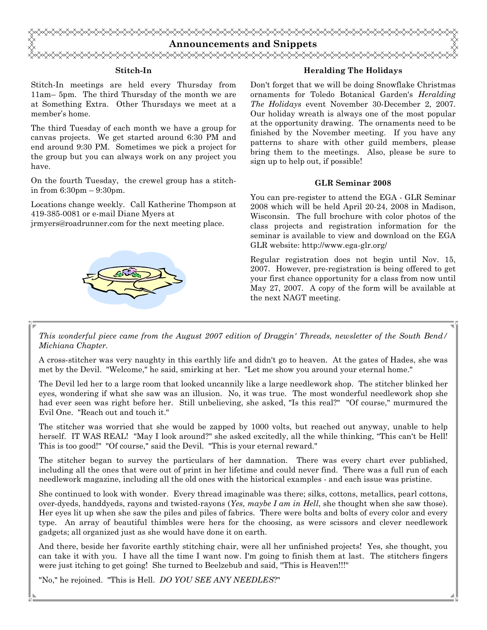

### Stitch-In

Stitch-In meetings are held every Thursday from 11am– 5pm. The third Thursday of the month we are at Something Extra. Other Thursdays we meet at a member's home.

The third Tuesday of each month we have a group for canvas projects. We get started around 6:30 PM and end around 9:30 PM. Sometimes we pick a project for the group but you can always work on any project you have.

On the fourth Tuesday, the crewel group has a stitchin from  $6:30 \text{pm} - 9:30 \text{pm}$ .

Locations change weekly. Call Katherine Thompson at 419-385-0081 or e-mail Diane Myers at

jrmyers@roadrunner.com for the next meeting place.



### Heralding The Holidays

Don't forget that we will be doing Snowflake Christmas ornaments for Toledo Botanical Garden's Heralding The Holidays event November 30-December 2, 2007. Our holiday wreath is always one of the most popular at the opportunity drawing. The ornaments need to be finished by the November meeting. If you have any patterns to share with other guild members, please bring them to the meetings. Also, please be sure to sign up to help out, if possible!

### GLR Seminar 2008

You can pre-register to attend the EGA - GLR Seminar 2008 which will be held April 20-24, 2008 in Madison, Wisconsin. The full brochure with color photos of the class projects and registration information for the seminar is available to view and download on the EGA GLR website: http://www.ega-glr.org/

Regular registration does not begin until Nov. 15, 2007. However, pre-registration is being offered to get your first chance opportunity for a class from now until May 27, 2007. A copy of the form will be available at the next NAGT meeting.

This wonderful piece came from the August 2007 edition of Draggin' Threads, newsletter of the South Bend/ Michiana Chapter.

A cross-stitcher was very naughty in this earthly life and didn't go to heaven. At the gates of Hades, she was met by the Devil. "Welcome," he said, smirking at her. "Let me show you around your eternal home."

The Devil led her to a large room that looked uncannily like a large needlework shop. The stitcher blinked her eyes, wondering if what she saw was an illusion. No, it was true. The most wonderful needlework shop she had ever seen was right before her. Still unbelieving, she asked, "Is this real?" "Of course," murmured the Evil One. "Reach out and touch it."

The stitcher was worried that she would be zapped by 1000 volts, but reached out anyway, unable to help herself. IT WAS REAL! "May I look around?" she asked excitedly, all the while thinking, "This can't be Hell! This is too good!" "Of course," said the Devil. "This is your eternal reward."

The stitcher began to survey the particulars of her damnation. There was every chart ever published, including all the ones that were out of print in her lifetime and could never find. There was a full run of each needlework magazine, including all the old ones with the historical examples - and each issue was pristine.

She continued to look with wonder. Every thread imaginable was there; silks, cottons, metallics, pearl cottons, over-dyeds, handdyeds, rayons and twisted-rayons (Yes,  $maybe I am in Hell$ , she thought when she saw those). Her eyes lit up when she saw the piles and piles of fabrics. There were bolts and bolts of every color and every type. An array of beautiful thimbles were hers for the choosing, as were scissors and clever needlework gadgets; all organized just as she would have done it on earth.

And there, beside her favorite earthly stitching chair, were all her unfinished projects! Yes, she thought, you can take it with you. I have all the time I want now. I'm going to finish them at last. The stitchers fingers were just itching to get going! She turned to Beelzebub and said, "This is Heaven!!!"

"No," he rejoined. "This is Hell. DO YOU SEE ANY NEEDLES?"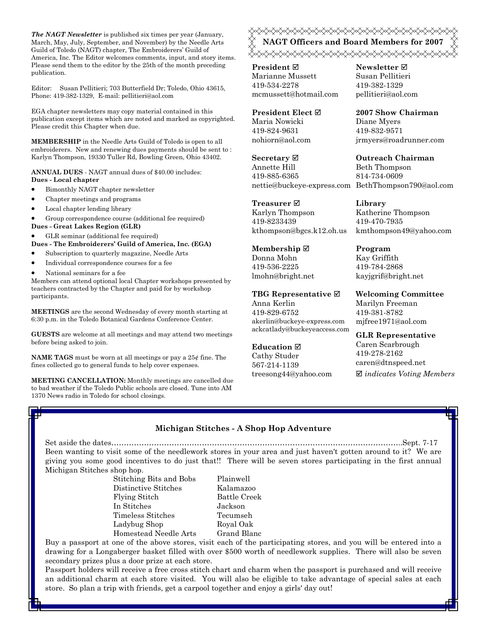The NAGT Newsletter is published six times per year (January, March, May, July, September, and November) by the Needle Arts Guild of Toledo (NAGT) chapter, The Embroiderers' Guild of America, Inc. The Editor welcomes comments, input, and story items. Please send them to the editor by the 25th of the month preceding publication.

Editor: Susan Pellitieri; 703 Butterfield Dr; Toledo, Ohio 43615, Phone: 419-382-1329, E-mail: pellitieri@aol.com

EGA chapter newsletters may copy material contained in this publication except items which are noted and marked as copyrighted. Please credit this Chapter when due.

MEMBERSHIP in the Needle Arts Guild of Toledo is open to all embroiderers. New and renewing dues payments should be sent to : Karlyn Thompson, 19330 Tuller Rd, Bowling Green, Ohio 43402.

ANNUAL DUES - NAGT annual dues of \$40.00 includes: Dues - Local chapter

- Bimonthly NAGT chapter newsletter
- Chapter meetings and programs
- Local chapter lending library

• Group correspondence course (additional fee required)

Dues - Great Lakes Region (GLR)

• GLR seminar (additional fee required)

Dues - The Embroiderers' Guild of America, Inc. (EGA)

- Subscription to quarterly magazine, Needle Arts
- Individual correspondence courses for a fee
- National seminars for a fee

Members can attend optional local Chapter workshops presented by teachers contracted by the Chapter and paid for by workshop participants.

MEETINGS are the second Wednesday of every month starting at 6:30 p.m. in the Toledo Botanical Gardens Conference Center.

GUESTS are welcome at all meetings and may attend two meetings before being asked to join.

**NAME TAGS** must be worn at all meetings or pay a  $25¢$  fine. The fines collected go to general funds to help cover expenses.

MEETING CANCELLATION: Monthly meetings are cancelled due to bad weather if the Toledo Public schools are closed. Tune into AM 1370 News radio in Toledo for school closings.

**≈X≠X≠X≈X≠X≈X≈X≈X≈X≈X≈X≈X≈X≈X≈X≈X** NAGT Officers and Board Members for 2007 

**President** ⊠ Marianne Mussett 419-534-2278 mcmussett@hotmail.com

President Elect Maria Nowicki 419-824-9631 nohiorn@aol.com

Secretary ⊠ Annette Hill 419-885-6365 nettie@buckeye-express.com BethThompson790@aol.com

Treasurer **⊠** Karlyn Thompson 419-8233439 kthompson@bgcs.k12.oh.us

Membership ⊠ Donna Mohn 419-536-2225 lmohn@bright.net

TBG Representative  $□$ Anna Kerlin 419-829-6752 akerlin@buckeye-express.com ackcatlady@buckeyeaccess.com

#### Education  $\boxtimes$

Cathy Studer 567-214-1139 treesong44@yahoo.com Newsletter **Ø** Susan Pellitieri 419-382-1329 pellitieri@aol.com

2007 Show Chairman Diane Myers 419-832-9571 jrmyers@roadrunner.com

Outreach Chairman Beth Thompson 814-734-0609

Library Katherine Thompson 419-470-7935 kmthompson49@yahoo.com

Program Kay Griffith 419-784-2868 kayjgrif@bright.net

Welcoming Committee Marilyn Freeman 419-381-8782 mjfree1971@aol.com

GLR Representative Caren Scarbrough 419-278-2162 caren@dtnspeed.net  $\boxtimes$  indicates Voting Members

### Michigan Stitches - A Shop Hop Adventure

Set aside the dates……………………………………………………………………………………………………..Sept. 7-17 Been wanting to visit some of the needlework stores in your area and just haven't gotten around to it? We are giving you some good incentives to do just that!! There will be seven stores participating in the first annual Michigan Stitches shop hop.

 Stitching Bits and Bobs Plainwell Distinctive Stitches Kalamazoo Flying Stitch Battle Creek In Stitches Jackson Timeless Stitches Tecumseh Ladybug Shop Royal Oak Homestead Needle Arts Grand Blanc

Buy a passport at one of the above stores, visit each of the participating stores, and you will be entered into a drawing for a Longaberger basket filled with over \$500 worth of needlework supplies. There will also be seven secondary prizes plus a door prize at each store.

Passport holders will receive a free cross stitch chart and charm when the passport is purchased and will receive an additional charm at each store visited. You will also be eligible to take advantage of special sales at each store. So plan a trip with friends, get a carpool together and enjoy a girls' day out!